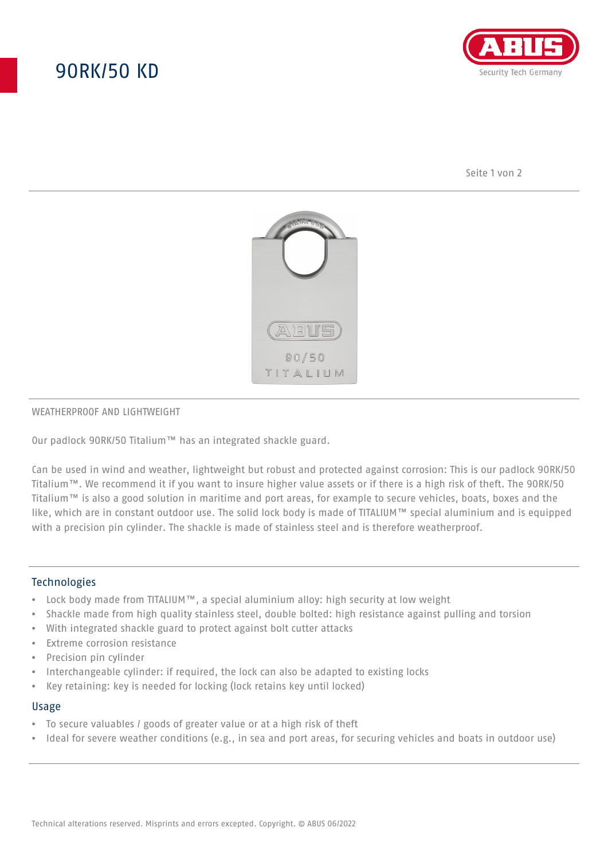## 90RK/50 KD



Seite 1 von 2



#### WEATHERPROOF AND LIGHTWEIGHT

Our padlock 90RK/50 Titalium™ has an integrated shackle guard.

Can be used in wind and weather, lightweight but robust and protected against corrosion: This is our padlock 90RK/50 Titalium™. We recommend it if you want to insure higher value assets or if there is a high risk of theft. The 90RK/50 Titalium™ is also a good solution in maritime and port areas, for example to secure vehicles, boats, boxes and the like, which are in constant outdoor use. The solid lock body is made of TITALIUM™ special aluminium and is equipped with a precision pin cylinder. The shackle is made of stainless steel and is therefore weatherproof.

## **Technologies**

- Lock body made from TITALIUM™, a special aluminium alloy: high security at low weight
- Shackle made from high quality stainless steel, double bolted: high resistance against pulling and torsion
- With integrated shackle guard to protect against bolt cutter attacks
- Extreme corrosion resistance
- Precision pin cylinder
- Interchangeable cylinder: if required, the lock can also be adapted to existing locks
- Key retaining: key is needed for locking (lock retains key until locked)

#### Usage

- To secure valuables / goods of greater value or at a high risk of theft
- Ideal for severe weather conditions (e.g., in sea and port areas, for securing vehicles and boats in outdoor use)